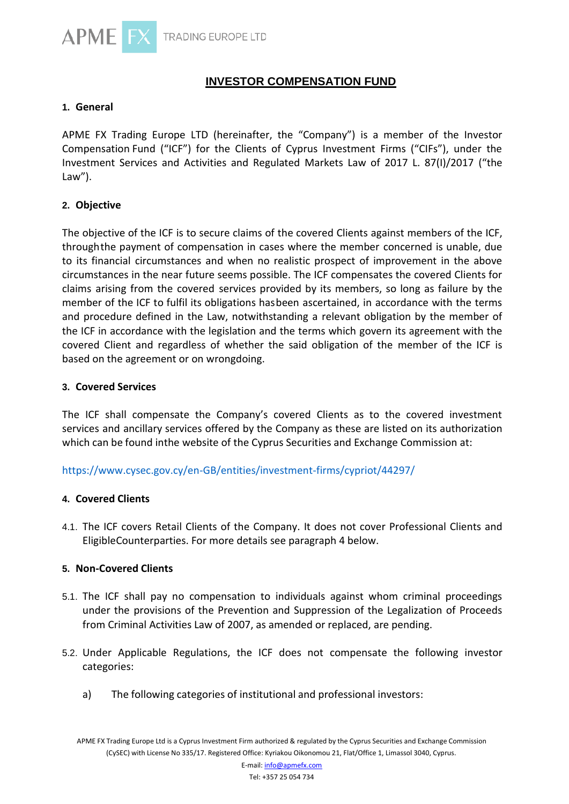

# **INVESTOR COMPENSATION FUND**

## **1. General**

APME FX Trading Europe LTD (hereinafter, the "Company") is a member of the Investor Compensation Fund ("ICF") for the Clients of Cyprus Investment Firms ("CIFs"), under the Investment Services and Activities and Regulated Markets Law of 2017 L. 87(I)/2017 ("the Law").

## **2. Objective**

The objective of the ICF is to secure claims of the covered Clients against members of the ICF, throughthe payment of compensation in cases where the member concerned is unable, due to its financial circumstances and when no realistic prospect of improvement in the above circumstances in the near future seems possible. The ICF compensates the covered Clients for claims arising from the covered services provided by its members, so long as failure by the member of the ICF to fulfil its obligations hasbeen ascertained, in accordance with the terms and procedure defined in the Law, notwithstanding a relevant obligation by the member of the ICF in accordance with the legislation and the terms which govern its agreement with the covered Client and regardless of whether the said obligation of the member of the ICF is based on the agreement or on wrongdoing.

## **3. Covered Services**

The ICF shall compensate the Company's covered Clients as to the covered investment services and ancillary services offered by the Company as these are listed on its authorization which can be found inthe website of the Cyprus Securities and Exchange Commission at:

## <https://www.cysec.gov.cy/en-GB/entities/investment-firms/cypriot/44297/>

## **4. Covered Clients**

4.1. The ICF covers Retail Clients of the Company. It does not cover Professional Clients and EligibleCounterparties. For more details see paragraph 4 below.

## **5. Non-Covered Clients**

- 5.1. The ICF shall pay no compensation to individuals against whom criminal proceedings under the provisions of the Prevention and Suppression of the Legalization of Proceeds from Criminal Activities Law of 2007, as amended or replaced, are pending.
- 5.2. Under Applicable Regulations, the ICF does not compensate the following investor categories:
	- a) The following categories of institutional and professional investors: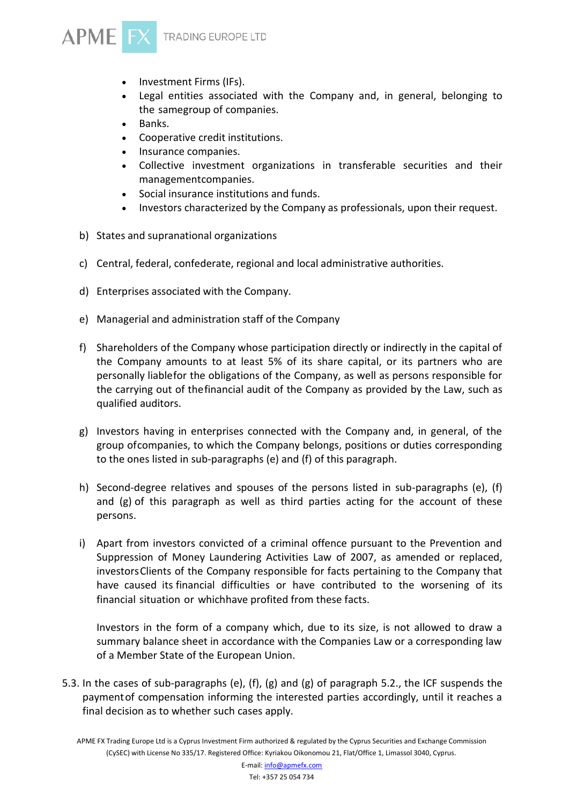

- Investment Firms (IFs).
- Legal entities associated with the Company and, in general, belonging to the samegroup of companies.
- Banks.
- Cooperative credit institutions.
- Insurance companies.
- Collective investment organizations in transferable securities and their managementcompanies.
- Social insurance institutions and funds.
- Investors characterized by the Company as professionals, upon their request.
- b) States and supranational organizations
- c) Central, federal, confederate, regional and local administrative authorities.
- d) Enterprises associated with the Company.
- e) Managerial and administration staff of the Company
- f) Shareholders of the Company whose participation directly or indirectly in the capital of the Company amounts to at least 5% of its share capital, or its partners who are personally liablefor the obligations of the Company, as well as persons responsible for the carrying out of thefinancial audit of the Company as provided by the Law, such as qualified auditors.
- g) Investors having in enterprises connected with the Company and, in general, of the group ofcompanies, to which the Company belongs, positions or duties corresponding to the ones listed in sub-paragraphs (e) and (f) of this paragraph.
- h) Second-degree relatives and spouses of the persons listed in sub-paragraphs (e), (f) and  $(g)$  of this paragraph as well as third parties acting for the account of these persons.
- i) Apart from investors convicted of a criminal offence pursuant to the Prevention and Suppression of Money Laundering Activities Law of 2007, as amended or replaced, investorsClients of the Company responsible for facts pertaining to the Company that have caused its financial difficulties or have contributed to the worsening of its financial situation or whichhave profited from these facts.

Investors in the form of a company which, due to its size, is not allowed to draw a summary balance sheet in accordance with the Companies Law or a corresponding law of a Member State of the European Union.

5.3. In the cases of sub-paragraphs (e), (f), (g) and (g) of paragraph 5.2., the ICF suspends the paymentof compensation informing the interested parties accordingly, until it reaches a final decision as to whether such cases apply.

APME FX Trading Europe Ltd is a Cyprus Investment Firm authorized & regulated by the Cyprus Securities and Exchange Commission (CySEC) with License No 335/17. Registered Office: Kyriakou Oikonomou 21, Flat/Office 1, Limassol 3040, Cyprus.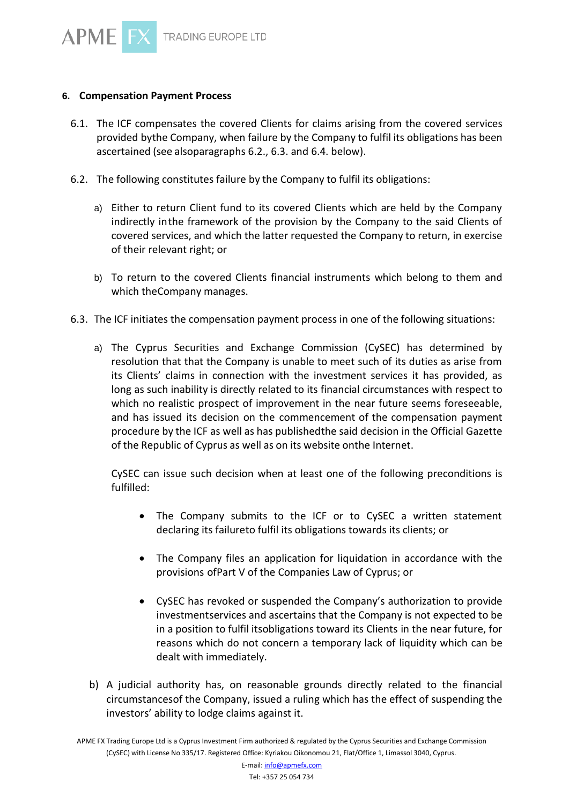## **6. Compensation Payment Process**

- 6.1. The ICF compensates the covered Clients for claims arising from the covered services provided bythe Company, when failure by the Company to fulfil its obligations has been ascertained (see alsoparagraphs 6.2., 6.3. and 6.4. below).
- 6.2. The following constitutes failure by the Company to fulfil its obligations:
	- a) Either to return Client fund to its covered Clients which are held by the Company indirectly inthe framework of the provision by the Company to the said Clients of covered services, and which the latter requested the Company to return, in exercise of their relevant right; or
	- b) To return to the covered Clients financial instruments which belong to them and which theCompany manages.
- 6.3. The ICF initiates the compensation payment process in one of the following situations:
	- a) The Cyprus Securities and Exchange Commission (CySEC) has determined by resolution that that the Company is unable to meet such of its duties as arise from its Clients' claims in connection with the investment services it has provided, as long as such inability is directly related to its financial circumstances with respect to which no realistic prospect of improvement in the near future seems foreseeable, and has issued its decision on the commencement of the compensation payment procedure by the ICF as well as has publishedthe said decision in the Official Gazette of the Republic of Cyprus as well as on its website onthe Internet.

CySEC can issue such decision when at least one of the following preconditions is fulfilled:

- The Company submits to the ICF or to CySEC a written statement declaring its failureto fulfil its obligations towards its clients; or
- The Company files an application for liquidation in accordance with the provisions ofPart V of the Companies Law of Cyprus; or
- CySEC has revoked or suspended the Company's authorization to provide investmentservices and ascertains that the Company is not expected to be in a position to fulfil itsobligations toward its Clients in the near future, for reasons which do not concern a temporary lack of liquidity which can be dealt with immediately.
- b) A judicial authority has, on reasonable grounds directly related to the financial circumstancesof the Company, issued a ruling which has the effect of suspending the investors' ability to lodge claims against it.

APME FX Trading Europe Ltd is a Cyprus Investment Firm authorized & regulated by the Cyprus Securities and Exchange Commission (CySEC) with License No 335/17. Registered Office: Kyriakou Oikonomou 21, Flat/Office 1, Limassol 3040, Cyprus.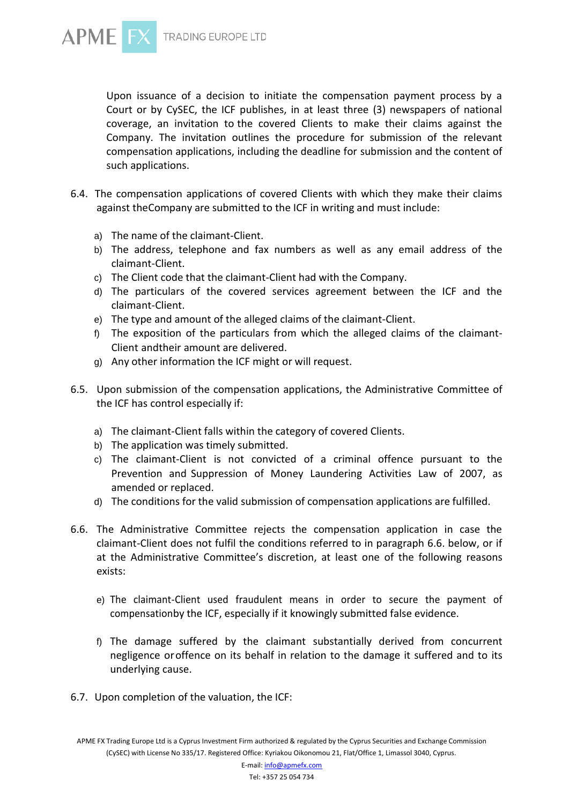



Upon issuance of a decision to initiate the compensation payment process by a Court or by CySEC, the ICF publishes, in at least three (3) newspapers of national coverage, an invitation to the covered Clients to make their claims against the Company. The invitation outlines the procedure for submission of the relevant compensation applications, including the deadline for submission and the content of such applications.

- 6.4. The compensation applications of covered Clients with which they make their claims against theCompany are submitted to the ICF in writing and must include:
	- a) The name of the claimant-Client.
	- b) The address, telephone and fax numbers as well as any email address of the claimant-Client.
	- c) The Client code that the claimant-Client had with the Company.
	- d) The particulars of the covered services agreement between the ICF and the claimant-Client.
	- e) The type and amount of the alleged claims of the claimant-Client.
	- f) The exposition of the particulars from which the alleged claims of the claimant-Client andtheir amount are delivered.
	- g) Any other information the ICF might or will request.
- 6.5. Upon submission of the compensation applications, the Administrative Committee of the ICF has control especially if:
	- a) The claimant-Client falls within the category of covered Clients.
	- b) The application was timely submitted.
	- c) The claimant-Client is not convicted of a criminal offence pursuant to the Prevention and Suppression of Money Laundering Activities Law of 2007, as amended or replaced.
	- d) The conditions for the valid submission of compensation applications are fulfilled.
- 6.6. The Administrative Committee rejects the compensation application in case the claimant-Client does not fulfil the conditions referred to in paragraph 6.6. below, or if at the Administrative Committee's discretion, at least one of the following reasons exists:
	- e) The claimant-Client used fraudulent means in order to secure the payment of compensationby the ICF, especially if it knowingly submitted false evidence.
	- f) The damage suffered by the claimant substantially derived from concurrent negligence oroffence on its behalf in relation to the damage it suffered and to its underlying cause.
- 6.7. Upon completion of the valuation, the ICF:

APME FX Trading Europe Ltd is a Cyprus Investment Firm authorized & regulated by the Cyprus Securities and Exchange Commission (CySEC) with License No 335/17. Registered Office: Kyriakou Oikonomou 21, Flat/Office 1, Limassol 3040, Cyprus.